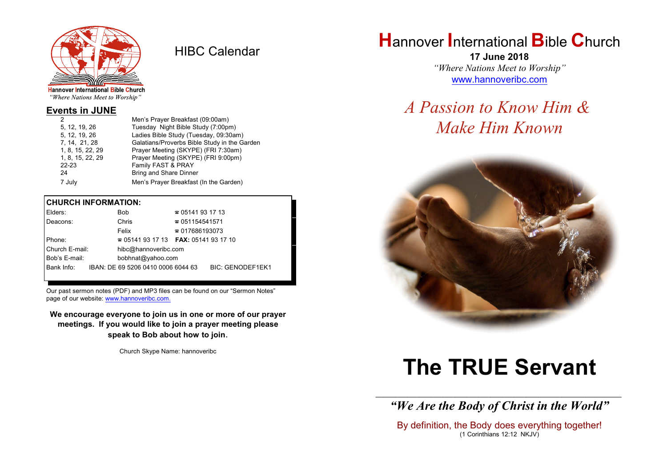

HIBC Calendar

"Where Nations Meet to Worship"

#### **Events in JUNE**

|                  | Men's Prayer Breakfast (09:00am)             |
|------------------|----------------------------------------------|
| 5, 12, 19, 26    | Tuesday Night Bible Study (7:00pm)           |
| 5. 12. 19. 26    | Ladies Bible Study (Tuesday, 09:30am)        |
| 7, 14, 21, 28    | Galatians/Proverbs Bible Study in the Garden |
| 1, 8, 15, 22, 29 | Prayer Meeting (SKYPE) (FRI 7:30am)          |
| 1, 8, 15, 22, 29 | Prayer Meeting (SKYPE) (FRI 9:00pm)          |
| $22 - 23$        | Family FAST & PRAY                           |
| 24               | <b>Bring and Share Dinner</b>                |
| 7 July           | Men's Prayer Breakfast (In the Garden)       |
|                  |                                              |

#### **CHURCH INFORMATION:**

| Elders:        |  | Bob                                      | $\approx 05141931713$  |                         |  |  |
|----------------|--|------------------------------------------|------------------------|-------------------------|--|--|
| Deacons:       |  | Chris                                    | $\approx 051154541571$ |                         |  |  |
|                |  | Felix                                    | $\approx 017686193073$ |                         |  |  |
| Phone:         |  | $\approx 05141931713$ FAX: 0514193 17 10 |                        |                         |  |  |
| Church E-mail: |  | hibc@hannoveribc.com                     |                        |                         |  |  |
| Bob's E-mail:  |  | bobhnat@yahoo.com                        |                        |                         |  |  |
| Bank Info:     |  | IBAN: DE 69 5206 0410 0006 6044 63       |                        | <b>BIC: GENODEF1EK1</b> |  |  |
|                |  |                                          |                        |                         |  |  |

Our past sermon notes (PDF) and MP3 files can be found on our "Sermon Notes" page of our website: [www.hannoveribc.com.](http://www.hannoveribc.com.)

**We encourage everyone to join us in one or more of our prayer meetings. If you would like to join a prayer meeting please speak to Bob about how to join**.

Church Skype Name: hannoveribc

# **H**annover **I**nternational **B**ible **C**hurch

**17 June 2018** *"Where Nations Meet to Worship"* [www.hannoveribc.com](http://www.hannoveribc.com)

# *A Passion to Know Him & Make Him Known*



# **The TRUE Servant**

\_\_\_\_\_\_\_\_\_\_\_\_\_\_\_\_\_\_\_\_\_\_\_\_\_\_\_\_\_\_\_\_\_\_\_\_\_\_\_\_\_\_\_\_\_\_\_\_\_\_\_\_\_\_\_\_\_\_\_\_\_\_ *"We Are the Body of Christ in the World"*

By definition, the Body does everything together! (1 Corinthians 12:12 NKJV)